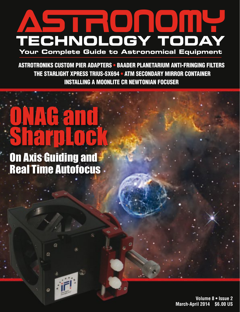

ASTROTRONIKS CUSTOM PIER ADAPTERS • BAADER PLANETARIUM ANTI-FRINGING FILTERS THE STARLIGHT XPRESS TRIUS-SX694 • ATM SECONDARY MIRROR CONTAINER INSTALLING A MOONLITE CR NEWTONIAN FOCUSER

## ONAG and SharpLock

On Axis Guiding and Real Time Autofocus

 $\Omega$ 

O

 $\mathcal{Q}$ 

**Volume 8 • Issue 2 March-April 2014 \$6.00 US**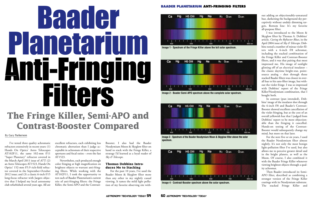I've tested three quality achromatic refractors extensively in recent years: (1) Hands On Optics' Astro Telescopes AT102F11, the same 102-mm f/11 "Super Planetary" refractor covered in the March-April 2011 issue of *ATT*; (2) an Astro Telescopes AT1523, Hands On Optics' 152-mm f/5.9 rich-field refractor covered in the September-October 2012 issue; and (3) a classic 6-inch f/15 long-focus refractor with Jaegers objective that I helped my local astronomy club refurbished several years ago. All are

excellent refractors, each exhibiting less chromatic aberration than I judge acceptable in achromats of their respective apertures and focal ratios – even the fast AT1523.

# Baad Gr Planetarium **Anti-Fringing<br>Filters The Fringe Killer, Semi-APO and Contrast-Booster Compared**

Nevertheless, each produced enough color fringing at high magnification on brightest objects to warrant anti-fringing filters. While working with the AT102F11, I took the opportunity to test each of Baader Planetarium's current trio of anti-fringing filters: the Fringe Killer, the Semi-APO and the Contrast-

Booster. I also had the Baader Neodymium Moon & Skyglow filter on hand to stack with the Fringe Killer, a strategy I'd learned as a loyal reader of *Sky & Telescope.*

### **Thomas Dobbins Introduces Me to Stacking**

For the past 10 years, I've used the Baader Moon & Skyglow filter more than any other in my nightly casual viewing. It tames the mild light pollution of my favorite observing site with-

### By Gary Parkerson

out adding an objectionably-unnatural hue, darkening the background sky perceptively without unduly dimming targets. Bottom line: It's my favorite all-purpose filter.

I was introduced to the Moon & Skyglow filter by Thomas A. Dobbins' article, *Curing the Refractor Blues*, in the April 2004 issue of *Sky & Telescope*. Dobbins tested a number of minus-violet filters with a 6-inch f/8 achromat, including the stacked combination of the Fringe Killer and Contrast-Booster filters, and it was that pairing that most impressed me. His image of sunlight glinting off of an electrical insulator – the classic daytime bright-star, pointsource analog – shot through those stacked Baader filters was closest in overall hue to his sans-filter image, but without the violet fringe. I was so impressed with Dobbins' report of the Fringe Killer/Neodymium combination, that I bought both.

In contrast (pun intended), Dobbins' image of the insulator shot through the 6-inch f/8 and Baader's Contrast-Booster showed excellent cancellation of the violet fringing, but at the cost of an overall yellowish hue that I judged from Dobbins' report to be more objectionable than the fringing it cancelled. Hands-on testing of the Contrast-Booster would subsequently change my mind, but more on that later.

For the next five or six years, I used the Baader Neodymium filter almost nightly. It's not only the most benign light-pollution filter I've used, but also allows me to perceive greater detail and in the bright planets, as well as the Moon. Of course, I also combined it with the Baader Fringe Killer whenever viewing brightest objects through a quality achromat.

Then Baader introduced its Semi-APO filter, described as combining a stronger version of the Fringe Killer coatings with its Neodymium substrate. The stacked Fringe Killer and

## **BAADER PLANETARIUM ANTI-FRINGING FILTERS**







**Image 2 - Baader Semi-APO spectrum above the complete solar spectrum.**



**Image 4 - Contrast-Booster spectrum above the solar spectrum.**



**Image 3 - Spectrum of the Baader Neodymium Moon & Skyglow filter above the solar spectrum.**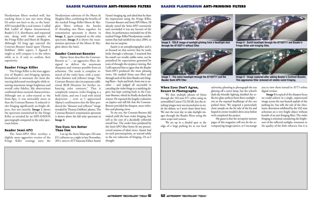### **BAADER PLANETARIUM ANTI-FRINGING FILTERS**

Neodymium filters worked well, but stacking them is just one more thing I'd rather not have to do, so the Semi-APO sounded like a real winner. I called Bob Luffel of Alpine Astronomical, Baader's U.S. distributor, and requested one, along with fresh samples of the Fringe Killer and Moon & Skyglow. Although I'd long ago rejected the Contrast-Booster based upon Thomas Dobbins' 2004 report, I figured I might as well compare it to the others while at it, if only to confirm their superiority.

### **Baader Fringe Killer**

The Fringe Killer is the least aggressive of Baader's anti-fringing options, formulated to attenuate the most distracting defocused wavelengths while retaining maximum image brightness and overall color fidelity. My observations confirmed these essential characteristics. Although not as color-neutral as the Semi-Apo, it was noticeably more so than the Contrast Booster. It reduced violet fringing significantly on bright objects, but not entirely. **Image 1** shows the spectrum transmitted by the Fringe Killer as revealed by an MPI-DADOS spectrograph compared to the solar spectrum below.

### **Baader Semi-APO**

The Semi-APO filter overlays a slightly more aggressive version of the Fringe Killer coatings onto the Neodymium substrate of the Moon & Skyglow filter, combining the benefits of the stacked Fringe Killer-Moon & Skyglow filters without the hassles of threading two filters together. Its transmission spectrum is shown in **Image 2**, again compared to the solar spectrum. **Image 3** is shows the transmission spectrum of the Moon & Skyglow above the Sun's.

### **Baader Contrast-Booster**

Alpine Astro describes the Contrast-Booster as "… an aggressive filter, designed to deliver the maximum sharpness and contrast possible from an achromat. The result is complete removal of the violet haze, with a somewhat dimmer and yellower image. The Contrast-Booster also incorporates additional RGB filtration for further enhancing color contrasts." That it completely removes violet fringing is a bold claim, and one I read with initial skepticism – even as I appreciated Alpine's confirmation that the filter produced the "dimmer and yellower" image revealed by Thomas Dobbins' photos. The Contrast-Booster's transmission spectrum is shown above the full solar spectrum in **Image 4**.

### **Two Eyes Are Better Than One**

I set up the Astro Telescopes 102-mm f/11 refractor on a night in late November, 2011, next to *ATT* Associate Editor Austin

Grant's imaging rig, and asked that he share his impressions using the Fringe Killer, Contrast-Booster and Semi-APO filters. I'd already tested the Semi-APO extensively and concluded it was my favorite of the three. Its performance reminded me of the stacked Fringe Killer/Neodymium combination that had satisfied me since 2004, so that was no surprise.

Austin is an astrophotographer and is so focused on that activity that he rarely looks through a telescope. I reasoned that his mind's eye would, unlike mine, not be prejudiced by expectations generated by years of through-the-eyepiece viewing. But I still expected him to agree that the Baader Semi-APO produced the most pleasing views. He studied Sirius sans filter and through each of the three Baader anti-fringing filters – back and forth, from one to another – and judged all successful in canceling the violet fringe to a satisfying degree, but kept coming back to the Contrast-Booster, which he finally declared the winner. He repeated the lengthy evaluation on Jupiter and still felt that the Contrast-Booster provided the sharpest, most violetfree and pleasing views.

To my eye, the Contrast-Booster did indeed yield the least violet fringing, but still at the cost of a decidedly yellowish overall hue. The cooler hues produced by the Semi-APO filter better fit my preconceived notions of ideal views. Austin had no such preconceptions, so reacted solely to the net reduction of fringing. Or so I thought.

### **When Eyes Don't Agree, Resort to Photography**

We shot multiple photos of Sirius through the 102-mm f/11 achro using an unmodified Canon T2i DLSR, but the resulting images were too inconclusive to settle the debate, so I won't share them here. We met the next day to take daylight images through the Baader filters using the same scope and camera.

We set up in a shaded spot at the edge of a large parking lot at our local

university, planning to photograph the sun glinting off a street lamp, but the school's dark-sky-friendly lighting shielded the reflective glass surfaces from direct sunlight – not so the exposed headlamps of the cars parked there. We targeted a particularly clean sample on the far side of the lot and hoped its owner wouldn't drive away before we'd completed the project.

My guess is that the newsprint interior pages of this magazine will not do the accompanying images justice, so I encourage

you to view them instead in *ATT's* online digital version.

**Image 5** is typical of the sharpest focus we could achieve in a single, unprocessed image across the sun-heated asphalt of the parking lot, but tells the tale of the chromatic aberration exhibited by the 102-mm achromat on a very bright object without benefit of an anti-fringing filter. The violet fringing is minimal considering the brightness of the reflected sunlight, testament to the quality of the little refractor, but it is

### **BAADER PLANETARIUM ANTI-FRINGING FILTERS**



**Image 5 - DSLR image of sunlight glinting from a headlight shot through the AT102F11 without filter.**

**Image 6 - Sunlit headlight through the AT102F11 and Baader's Fringe Killer anti-fringing filter.**



**Image 7 - The same headlight through the AT102F11 and the Baader Semi-APO filter.**

**Image 8 - Image captured after adding Baader's Contrast-Booster. This aggressive filter removed all visible violet fringing.**